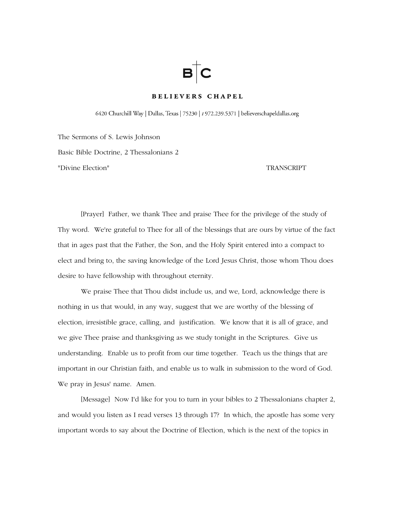# $B$   $C$

# **BELIEVERS CHAPEL**

6420 Churchill Way | Dallas, Texas | 75230 | t 972.239.5371 | believerschapeldallas.org

The Sermons of S. Lewis Johnson Basic Bible Doctrine, 2 Thessalonians 2 "Divine Election" TRANSCRIPT

 [Prayer] Father, we thank Thee and praise Thee for the privilege of the study of Thy word. We're grateful to Thee for all of the blessings that are ours by virtue of the fact that in ages past that the Father, the Son, and the Holy Spirit entered into a compact to elect and bring to, the saving knowledge of the Lord Jesus Christ, those whom Thou does desire to have fellowship with throughout eternity.

 We praise Thee that Thou didst include us, and we, Lord, acknowledge there is nothing in us that would, in any way, suggest that we are worthy of the blessing of election, irresistible grace, calling, and justification. We know that it is all of grace, and we give Thee praise and thanksgiving as we study tonight in the Scriptures. Give us understanding. Enable us to profit from our time together. Teach us the things that are important in our Christian faith, and enable us to walk in submission to the word of God. We pray in Jesus' name. Amen.

[Message] Now I'd like for you to turn in your bibles to 2 Thessalonians chapter 2, and would you listen as I read verses 13 through 17? In which, the apostle has some very important words to say about the Doctrine of Election, which is the next of the topics in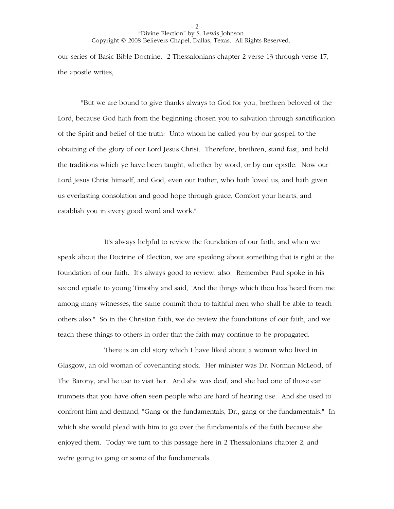our series of Basic Bible Doctrine. 2 Thessalonians chapter 2 verse 13 through verse 17, the apostle writes,

"But we are bound to give thanks always to God for you, brethren beloved of the Lord, because God hath from the beginning chosen you to salvation through sanctification of the Spirit and belief of the truth: Unto whom he called you by our gospel, to the obtaining of the glory of our Lord Jesus Christ. Therefore, brethren, stand fast, and hold the traditions which ye have been taught, whether by word, or by our epistle. Now our Lord Jesus Christ himself, and God, even our Father, who hath loved us, and hath given us everlasting consolation and good hope through grace, Comfort your hearts, and establish you in every good word and work."

 It's always helpful to review the foundation of our faith, and when we speak about the Doctrine of Election, we are speaking about something that is right at the foundation of our faith. It's always good to review, also. Remember Paul spoke in his second epistle to young Timothy and said, "And the things which thou has heard from me among many witnesses, the same commit thou to faithful men who shall be able to teach others also." So in the Christian faith, we do review the foundations of our faith, and we teach these things to others in order that the faith may continue to be propagated.

 There is an old story which I have liked about a woman who lived in Glasgow, an old woman of covenanting stock. Her minister was Dr. Norman McLeod, of The Barony, and he use to visit her. And she was deaf, and she had one of those ear trumpets that you have often seen people who are hard of hearing use. And she used to confront him and demand, "Gang or the fundamentals, Dr., gang or the fundamentals." In which she would plead with him to go over the fundamentals of the faith because she enjoyed them. Today we turn to this passage here in 2 Thessalonians chapter 2, and we're going to gang or some of the fundamentals.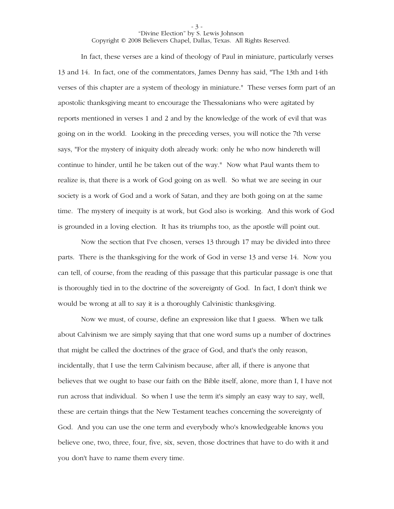In fact, these verses are a kind of theology of Paul in miniature, particularly verses 13 and 14. In fact, one of the commentators, James Denny has said, "The 13th and 14th verses of this chapter are a system of theology in miniature." These verses form part of an apostolic thanksgiving meant to encourage the Thessalonians who were agitated by reports mentioned in verses 1 and 2 and by the knowledge of the work of evil that was going on in the world. Looking in the preceding verses, you will notice the 7th verse says, "For the mystery of iniquity doth already work: only he who now hindereth will continue to hinder, until he be taken out of the way." Now what Paul wants them to realize is, that there is a work of God going on as well. So what we are seeing in our society is a work of God and a work of Satan, and they are both going on at the same time. The mystery of inequity is at work, but God also is working. And this work of God is grounded in a loving election. It has its triumphs too, as the apostle will point out.

Now the section that I've chosen, verses 13 through 17 may be divided into three parts. There is the thanksgiving for the work of God in verse 13 and verse 14. Now you can tell, of course, from the reading of this passage that this particular passage is one that is thoroughly tied in to the doctrine of the sovereignty of God. In fact, I don't think we would be wrong at all to say it is a thoroughly Calvinistic thanksgiving.

Now we must, of course, define an expression like that I guess. When we talk about Calvinism we are simply saying that that one word sums up a number of doctrines that might be called the doctrines of the grace of God, and that's the only reason, incidentally, that I use the term Calvinism because, after all, if there is anyone that believes that we ought to base our faith on the Bible itself, alone, more than I, I have not run across that individual. So when I use the term it's simply an easy way to say, well, these are certain things that the New Testament teaches concerning the sovereignty of God. And you can use the one term and everybody who's knowledgeable knows you believe one, two, three, four, five, six, seven, those doctrines that have to do with it and you don't have to name them every time.

- 3 -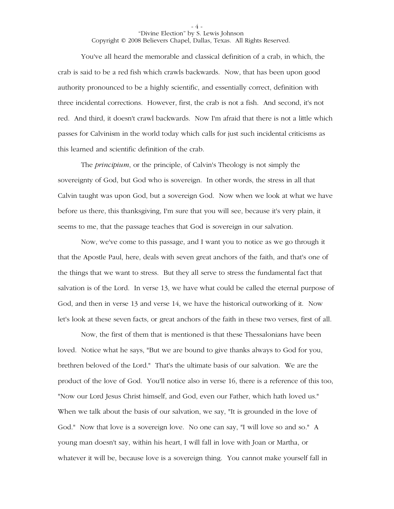- 4 -

You've all heard the memorable and classical definition of a crab, in which, the crab is said to be a red fish which crawls backwards. Now, that has been upon good authority pronounced to be a highly scientific, and essentially correct, definition with three incidental corrections. However, first, the crab is not a fish. And second, it's not red. And third, it doesn't crawl backwards. Now I'm afraid that there is not a little which passes for Calvinism in the world today which calls for just such incidental criticisms as this learned and scientific definition of the crab.

The *principium*, or the principle, of Calvin's Theology is not simply the sovereignty of God, but God who is sovereign. In other words, the stress in all that Calvin taught was upon God, but a sovereign God. Now when we look at what we have before us there, this thanksgiving, I'm sure that you will see, because it's very plain, it seems to me, that the passage teaches that God is sovereign in our salvation.

Now, we've come to this passage, and I want you to notice as we go through it that the Apostle Paul, here, deals with seven great anchors of the faith, and that's one of the things that we want to stress. But they all serve to stress the fundamental fact that salvation is of the Lord. In verse 13, we have what could be called the eternal purpose of God, and then in verse 13 and verse 14, we have the historical outworking of it. Now let's look at these seven facts, or great anchors of the faith in these two verses, first of all.

Now, the first of them that is mentioned is that these Thessalonians have been loved. Notice what he says, "But we are bound to give thanks always to God for you, brethren beloved of the Lord." That's the ultimate basis of our salvation. We are the product of the love of God. You'll notice also in verse 16, there is a reference of this too, "Now our Lord Jesus Christ himself, and God, even our Father, which hath loved us." When we talk about the basis of our salvation, we say, "It is grounded in the love of God." Now that love is a sovereign love. No one can say, "I will love so and so." A young man doesn't say, within his heart, I will fall in love with Joan or Martha, or whatever it will be, because love is a sovereign thing. You cannot make yourself fall in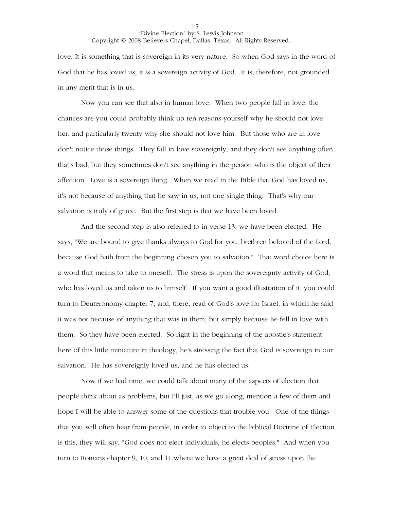love. It is something that is sovereign in its very nature. So when God says in the word of God that he has loved us, it is a sovereign activity of God. It is, therefore, not grounded in any merit that is in us.

Now you can see that also in human love. When two people fall in love, the chances are you could probably think up ten reasons yourself why he should not love her, and particularly twenty why she should not love him. But those who are in love don't notice those things. They fall in love sovereignly, and they don't see anything often that's bad, but they sometimes don't see anything in the person who is the object of their affection. Love is a sovereign thing. When we read in the Bible that God has loved us, it's not because of anything that he saw in us, not one single thing. That's why our salvation is truly of grace. But the first step is that we have been loved.

And the second step is also referred to in verse 13, we have been elected. He says, "We are bound to give thanks always to God for you, brethren beloved of the Lord, because God hath from the beginning chosen you to salvation." That word choice here is a word that means to take to oneself. The stress is upon the sovereignty activity of God, who has loved us and taken us to himself. If you want a good illustration of it, you could turn to Deuteronomy chapter 7, and, there, read of God's love for Israel, in which he said it was not because of anything that was in them, but simply because he fell in love with them. So they have been elected. So right in the beginning of the apostle's statement here of this little miniature in theology, he's stressing the fact that God is sovereign in our salvation. He has sovereignly loved us, and he has elected us.

Now if we had time, we could talk about many of the aspects of election that people think about as problems, but I'll just, as we go along, mention a few of them and hope I will be able to answer some of the questions that trouble you. One of the things that you will often hear from people, in order to object to the biblical Doctrine of Election is this, they will say, "God does not elect individuals, he elects peoples." And when you turn to Romans chapter 9, 10, and 11 where we have a great deal of stress upon the

- 5 -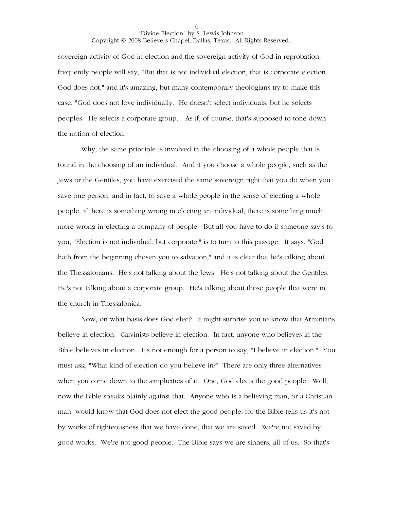sovereign activity of God in election and the sovereign activity of God in reprobation, frequently people will say, "But that is not individual election, that is corporate election. God does not," and it's amazing, but many contemporary theologians try to make this case, "God does not love individually. He doesn't select individuals, but he selects peoples. He selects a corporate group." As if, of course, that's supposed to tone down the notion of election.

Why, the same principle is involved in the choosing of a whole people that is found in the choosing of an individual. And if you choose a whole people, such as the Jews or the Gentiles, you have exercised the same sovereign right that you do when you save one person, and in fact, to save a whole people in the sense of electing a whole people, if there is something wrong in electing an individual, there is something much more wrong in electing a company of people. But all you have to do if someone say's to you, "Election is not individual, but corporate," is to turn to this passage. It says, "God hath from the beginning chosen you to salvation," and it is clear that he's talking about the Thessalonians. He's not talking about the Jews. He's not talking about the Gentiles. He's not talking about a corporate group. He's talking about those people that were in the church in Thessalonica.

Now, on what basis does God elect? It might surprise you to know that Arminians believe in election. Calvinists believe in election. In fact, anyone who believes in the Bible believes in election. It's not enough for a person to say, "I believe in election." You must ask, "What kind of election do you believe in?" There are only three alternatives when you come down to the simplicities of it. One, God elects the good people. Well, now the Bible speaks plainly against that. Anyone who is a believing man, or a Christian man, would know that God does not elect the good people, for the Bible tells us it's not by works of righteousness that we have done, that we are saved. We're not saved by good works. We're not good people. The Bible says we are sinners, all of us. So that's

- 6 -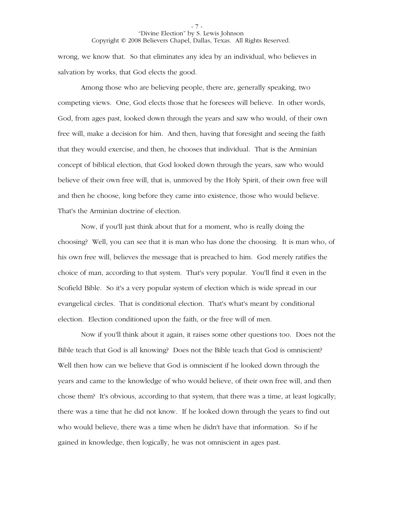wrong, we know that. So that eliminates any idea by an individual, who believes in salvation by works, that God elects the good.

Among those who are believing people, there are, generally speaking, two competing views. One, God elects those that he foresees will believe. In other words, God, from ages past, looked down through the years and saw who would, of their own free will, make a decision for him. And then, having that foresight and seeing the faith that they would exercise, and then, he chooses that individual. That is the Arminian concept of biblical election, that God looked down through the years, saw who would believe of their own free will, that is, unmoved by the Holy Spirit, of their own free will and then he choose, long before they came into existence, those who would believe. That's the Arminian doctrine of election.

Now, if you'll just think about that for a moment, who is really doing the choosing? Well, you can see that it is man who has done the choosing. It is man who, of his own free will, believes the message that is preached to him. God merely ratifies the choice of man, according to that system. That's very popular. You'll find it even in the Scofield Bible. So it's a very popular system of election which is wide spread in our evangelical circles. That is conditional election. That's what's meant by conditional election. Election conditioned upon the faith, or the free will of men.

Now if you'll think about it again, it raises some other questions too. Does not the Bible teach that God is all knowing? Does not the Bible teach that God is omniscient? Well then how can we believe that God is omniscient if he looked down through the years and came to the knowledge of who would believe, of their own free will, and then chose them? It's obvious, according to that system, that there was a time, at least logically; there was a time that he did not know. If he looked down through the years to find out who would believe, there was a time when he didn't have that information. So if he gained in knowledge, then logically, he was not omniscient in ages past.

- 7 -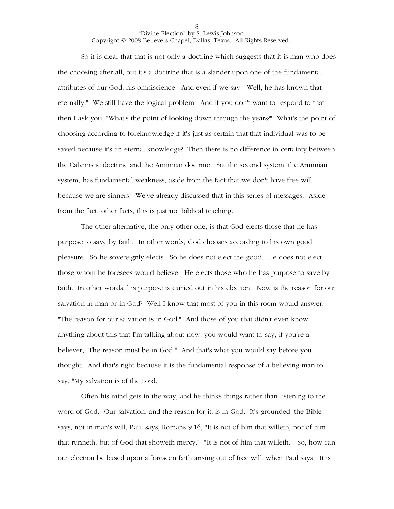So it is clear that that is not only a doctrine which suggests that it is man who does the choosing after all, but it's a doctrine that is a slander upon one of the fundamental attributes of our God, his omniscience. And even if we say, "Well, he has known that eternally." We still have the logical problem. And if you don't want to respond to that, then I ask you, "What's the point of looking down through the years?" What's the point of choosing according to foreknowledge if it's just as certain that that individual was to be saved because it's an eternal knowledge? Then there is no difference in certainty between the Calvinistic doctrine and the Arminian doctrine. So, the second system, the Arminian system, has fundamental weakness, aside from the fact that we don't have free will because we are sinners. We've already discussed that in this series of messages. Aside from the fact, other facts, this is just not biblical teaching.

The other alternative, the only other one, is that God elects those that he has purpose to save by faith. In other words, God chooses according to his own good pleasure. So he sovereignly elects. So he does not elect the good. He does not elect those whom he foresees would believe. He elects those who he has purpose to save by faith. In other words, his purpose is carried out in his election. Now is the reason for our salvation in man or in God? Well I know that most of you in this room would answer, "The reason for our salvation is in God." And those of you that didn't even know anything about this that I'm talking about now, you would want to say, if you're a believer, "The reason must be in God." And that's what you would say before you thought. And that's right because it is the fundamental response of a believing man to say, "My salvation is of the Lord."

Often his mind gets in the way, and he thinks things rather than listening to the word of God. Our salvation, and the reason for it, is in God. It's grounded, the Bible says, not in man's will, Paul says, Romans 9:16, "It is not of him that willeth, nor of him that runneth, but of God that showeth mercy." "It is not of him that willeth." So, how can our election be based upon a foreseen faith arising out of free will, when Paul says, "It is

- 8 -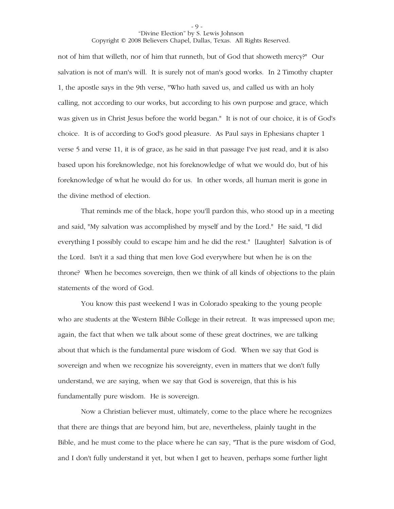not of him that willeth, nor of him that runneth, but of God that showeth mercy?" Our salvation is not of man's will. It is surely not of man's good works. In 2 Timothy chapter 1, the apostle says in the 9th verse, "Who hath saved us, and called us with an holy calling, not according to our works, but according to his own purpose and grace, which was given us in Christ Jesus before the world began." It is not of our choice, it is of God's choice. It is of according to God's good pleasure. As Paul says in Ephesians chapter 1 verse 5 and verse 11, it is of grace, as he said in that passage I've just read, and it is also based upon his foreknowledge, not his foreknowledge of what we would do, but of his foreknowledge of what he would do for us. In other words, all human merit is gone in the divine method of election.

That reminds me of the black, hope you'll pardon this, who stood up in a meeting and said, "My salvation was accomplished by myself and by the Lord." He said, "I did everything I possibly could to escape him and he did the rest." [Laughter] Salvation is of the Lord. Isn't it a sad thing that men love God everywhere but when he is on the throne? When he becomes sovereign, then we think of all kinds of objections to the plain statements of the word of God.

You know this past weekend I was in Colorado speaking to the young people who are students at the Western Bible College in their retreat. It was impressed upon me; again, the fact that when we talk about some of these great doctrines, we are talking about that which is the fundamental pure wisdom of God. When we say that God is sovereign and when we recognize his sovereignty, even in matters that we don't fully understand, we are saying, when we say that God is sovereign, that this is his fundamentally pure wisdom. He is sovereign.

Now a Christian believer must, ultimately, come to the place where he recognizes that there are things that are beyond him, but are, nevertheless, plainly taught in the Bible, and he must come to the place where he can say, "That is the pure wisdom of God, and I don't fully understand it yet, but when I get to heaven, perhaps some further light

- 9 -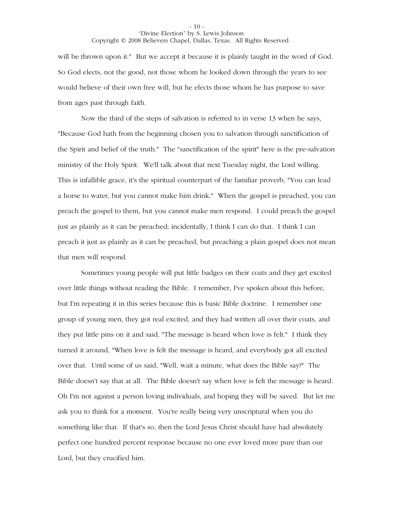will be thrown upon it." But we accept it because it is plainly taught in the word of God. So God elects, not the good, not those whom he looked down through the years to see would believe of their own free will, but he elects those whom he has purpose to save from ages past through faith.

Now the third of the steps of salvation is referred to in verse 13 when he says, "Because God hath from the beginning chosen you to salvation through sanctification of the Spirit and belief of the truth." The "sanctification of the spirit" here is the pre-salvation ministry of the Holy Spirit. We'll talk about that next Tuesday night, the Lord willing. This is infallible grace, it's the spiritual counterpart of the familiar proverb, "You can lead a horse to water, but you cannot make him drink." When the gospel is preached, you can preach the gospel to them, but you cannot make men respond. I could preach the gospel just as plainly as it can be preached; incidentally, I think I can do that. I think I can preach it just as plainly as it can be preached, but preaching a plain gospel does not mean that men will respond.

Sometimes young people will put little badges on their coats and they get excited over little things without reading the Bible. I remember, I've spoken about this before, but I'm repeating it in this series because this is basic Bible doctrine. I remember one group of young men, they got real excited, and they had written all over their coats, and they put little pins on it and said, "The message is heard when love is felt." I think they turned it around, "When love is felt the message is heard, and everybody got all excited over that. Until some of us said, "Well, wait a minute, what does the Bible say?" The Bible doesn't say that at all. The Bible doesn't say when love is felt the message is heard. Oh I'm not against a person loving individuals, and hoping they will be saved. But let me ask you to think for a moment. You're really being very unscriptural when you do something like that. If that's so, then the Lord Jesus Christ should have had absolutely perfect one hundred percent response because no one ever loved more pure than our Lord, but they crucified him.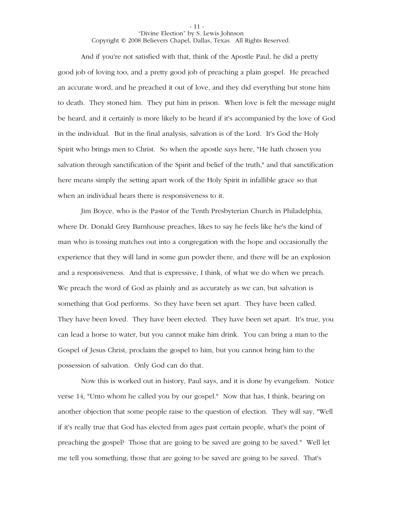And if you're not satisfied with that, think of the Apostle Paul, he did a pretty good job of loving too, and a pretty good job of preaching a plain gospel. He preached an accurate word, and he preached it out of love, and they did everything but stone him to death. They stoned him. They put him in prison. When love is felt the message might be heard, and it certainly is more likely to be heard if it's accompanied by the love of God in the individual. But in the final analysis, salvation is of the Lord. It's God the Holy Spirit who brings men to Christ. So when the apostle says here, "He hath chosen you salvation through sanctification of the Spirit and belief of the truth," and that sanctification here means simply the setting apart work of the Holy Spirit in infallible grace so that when an individual hears there is responsiveness to it.

Jim Boyce, who is the Pastor of the Tenth Presbyterian Church in Philadelphia, where Dr. Donald Grey Barnhouse preaches, likes to say he feels like he's the kind of man who is tossing matches out into a congregation with the hope and occasionally the experience that they will land in some gun powder there, and there will be an explosion and a responsiveness. And that is expressive, I think, of what we do when we preach. We preach the word of God as plainly and as accurately as we can, but salvation is something that God performs. So they have been set apart. They have been called. They have been loved. They have been elected. They have been set apart. It's true, you can lead a horse to water, but you cannot make him drink. You can bring a man to the Gospel of Jesus Christ, proclaim the gospel to him, but you cannot bring him to the possession of salvation. Only God can do that.

Now this is worked out in history, Paul says, and it is done by evangelism. Notice verse 14, "Unto whom he called you by our gospel." Now that has, I think, bearing on another objection that some people raise to the question of election. They will say, "Well if it's really true that God has elected from ages past certain people, what's the point of preaching the gospel? Those that are going to be saved are going to be saved." Well let me tell you something, those that are going to be saved are going to be saved. That's

- 11 -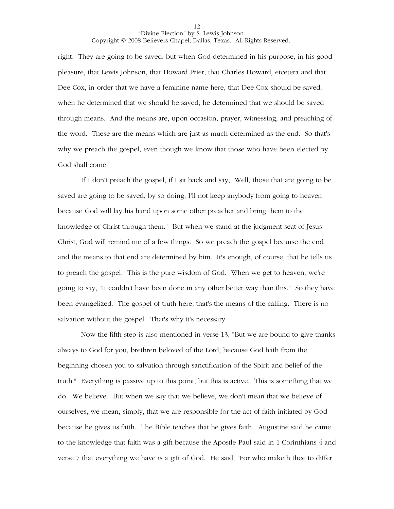- 12 -

right. They are going to be saved, but when God determined in his purpose, in his good pleasure, that Lewis Johnson, that Howard Prier, that Charles Howard, etcetera and that Dee Cox, in order that we have a feminine name here, that Dee Cox should be saved, when he determined that we should be saved, he determined that we should be saved through means. And the means are, upon occasion, prayer, witnessing, and preaching of the word. These are the means which are just as much determined as the end. So that's why we preach the gospel, even though we know that those who have been elected by God shall come.

If I don't preach the gospel, if I sit back and say, "Well, those that are going to be saved are going to be saved, by so doing, I'll not keep anybody from going to heaven because God will lay his hand upon some other preacher and bring them to the knowledge of Christ through them." But when we stand at the judgment seat of Jesus Christ, God will remind me of a few things. So we preach the gospel because the end and the means to that end are determined by him. It's enough, of course, that he tells us to preach the gospel. This is the pure wisdom of God. When we get to heaven, we're going to say, "It couldn't have been done in any other better way than this." So they have been evangelized. The gospel of truth here, that's the means of the calling. There is no salvation without the gospel. That's why it's necessary.

Now the fifth step is also mentioned in verse 13, "But we are bound to give thanks always to God for you, brethren beloved of the Lord, because God hath from the beginning chosen you to salvation through sanctification of the Spirit and belief of the truth." Everything is passive up to this point, but this is active. This is something that we do. We believe. But when we say that we believe, we don't mean that we believe of ourselves, we mean, simply, that we are responsible for the act of faith initiated by God because he gives us faith. The Bible teaches that he gives faith. Augustine said he came to the knowledge that faith was a gift because the Apostle Paul said in 1 Corinthians 4 and verse 7 that everything we have is a gift of God. He said, "For who maketh thee to differ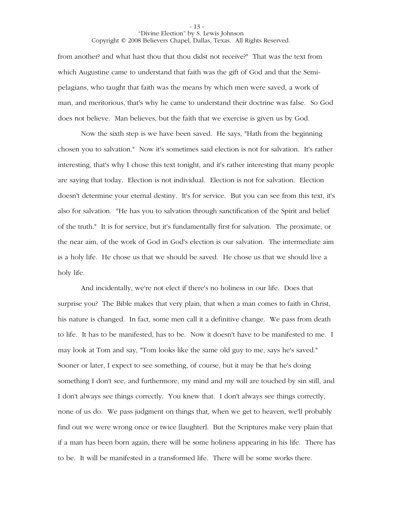from another? and what hast thou that thou didst not receive?" That was the text from which Augustine came to understand that faith was the gift of God and that the Semipelagians, who taught that faith was the means by which men were saved, a work of man, and meritorious, that's why he came to understand their doctrine was false. So God does not believe. Man believes, but the faith that we exercise is given us by God.

Now the sixth step is we have been saved. He says, "Hath from the beginning chosen you to salvation." Now it's sometimes said election is not for salvation. It's rather interesting, that's why I chose this text tonight, and it's rather interesting that many people are saying that today. Election is not individual. Election is not for salvation. Election doesn't determine your eternal destiny. It's for service. But you can see from this text, it's also for salvation. "He has you to salvation through sanctification of the Spirit and belief of the truth." It is for service, but it's fundamentally first for salvation. The proximate, or the near aim, of the work of God in God's election is our salvation. The intermediate aim is a holy life. He chose us that we should be saved. He chose us that we should live a holy life.

And incidentally, we're not elect if there's no holiness in our life. Does that surprise you? The Bible makes that very plain, that when a man comes to faith in Christ, his nature is changed. In fact, some men call it a definitive change. We pass from death to life. It has to be manifested, has to be. Now it doesn't have to be manifested to me. I may look at Tom and say, "Tom looks like the same old guy to me, says he's saved." Sooner or later, I expect to see something, of course, but it may be that he's doing something I don't see, and furthermore, my mind and my will are touched by sin still, and I don't always see things correctly. You knew that. I don't always see things correctly, none of us do. We pass judgment on things that, when we get to heaven, we'll probably find out we were wrong once or twice [laughter]. But the Scriptures make very plain that if a man has been born again, there will be some holiness appearing in his life. There has to be. It will be manifested in a transformed life. There will be some works there.

- 13 -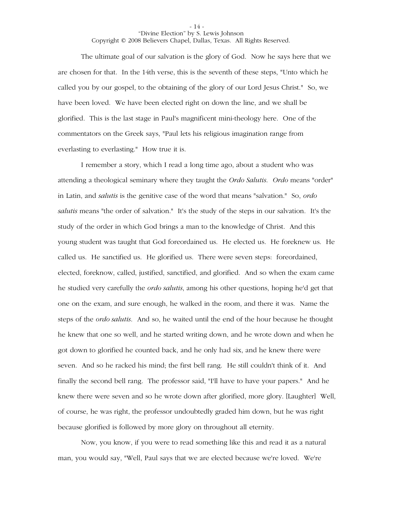The ultimate goal of our salvation is the glory of God. Now he says here that we are chosen for that. In the 14th verse, this is the seventh of these steps, "Unto which he called you by our gospel, to the obtaining of the glory of our Lord Jesus Christ." So, we have been loved. We have been elected right on down the line, and we shall be glorified. This is the last stage in Paul's magnificent mini-theology here. One of the commentators on the Greek says, "Paul lets his religious imagination range from everlasting to everlasting." How true it is.

I remember a story, which I read a long time ago, about a student who was attending a theological seminary where they taught the *Ordo Salutis*. *Ordo* means "order" in Latin, and *salutis* is the genitive case of the word that means "salvation." So, *ordo salutis* means "the order of salvation." It's the study of the steps in our salvation. It's the study of the order in which God brings a man to the knowledge of Christ. And this young student was taught that God foreordained us. He elected us. He foreknew us. He called us. He sanctified us. He glorified us. There were seven steps: foreordained, elected, foreknow, called, justified, sanctified, and glorified. And so when the exam came he studied very carefully the *ordo salutis*, among his other questions, hoping he'd get that one on the exam, and sure enough, he walked in the room, and there it was. Name the steps of the *ordo salutis*. And so, he waited until the end of the hour because he thought he knew that one so well, and he started writing down, and he wrote down and when he got down to glorified he counted back, and he only had six, and he knew there were seven. And so he racked his mind; the first bell rang. He still couldn't think of it. And finally the second bell rang. The professor said, "I'll have to have your papers." And he knew there were seven and so he wrote down after glorified, more glory. [Laughter] Well, of course, he was right, the professor undoubtedly graded him down, but he was right because glorified is followed by more glory on throughout all eternity.

Now, you know, if you were to read something like this and read it as a natural man, you would say, "Well, Paul says that we are elected because we're loved. We're

- 14 -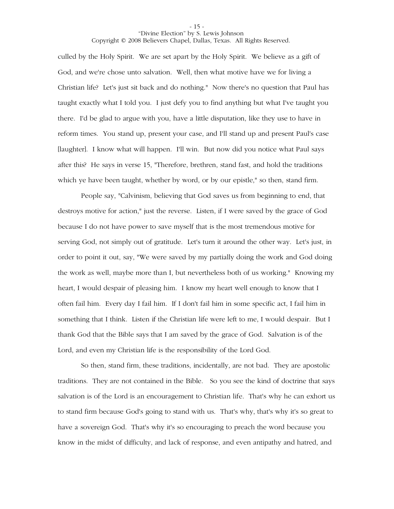culled by the Holy Spirit. We are set apart by the Holy Spirit. We believe as a gift of God, and we're chose unto salvation. Well, then what motive have we for living a Christian life? Let's just sit back and do nothing." Now there's no question that Paul has taught exactly what I told you. I just defy you to find anything but what I've taught you there. I'd be glad to argue with you, have a little disputation, like they use to have in reform times. You stand up, present your case, and I'll stand up and present Paul's case [laughter]. I know what will happen. I'll win. But now did you notice what Paul says after this? He says in verse 15, "Therefore, brethren, stand fast, and hold the traditions which ye have been taught, whether by word, or by our epistle," so then, stand firm.

People say, "Calvinism, believing that God saves us from beginning to end, that destroys motive for action," just the reverse. Listen, if I were saved by the grace of God because I do not have power to save myself that is the most tremendous motive for serving God, not simply out of gratitude. Let's turn it around the other way. Let's just, in order to point it out, say, "We were saved by my partially doing the work and God doing the work as well, maybe more than I, but nevertheless both of us working." Knowing my heart, I would despair of pleasing him. I know my heart well enough to know that I often fail him. Every day I fail him. If I don't fail him in some specific act, I fail him in something that I think. Listen if the Christian life were left to me, I would despair. But I thank God that the Bible says that I am saved by the grace of God. Salvation is of the Lord, and even my Christian life is the responsibility of the Lord God.

So then, stand firm, these traditions, incidentally, are not bad. They are apostolic traditions. They are not contained in the Bible. So you see the kind of doctrine that says salvation is of the Lord is an encouragement to Christian life. That's why he can exhort us to stand firm because God's going to stand with us. That's why, that's why it's so great to have a sovereign God. That's why it's so encouraging to preach the word because you know in the midst of difficulty, and lack of response, and even antipathy and hatred, and

- 15 -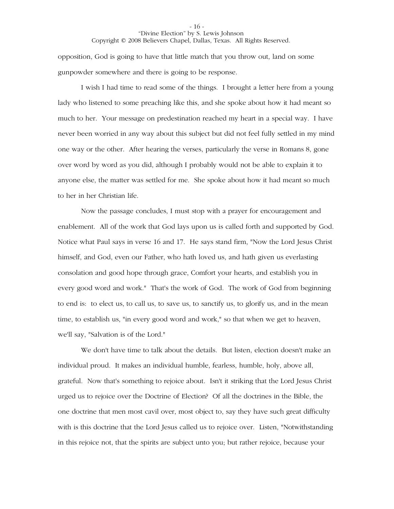opposition, God is going to have that little match that you throw out, land on some gunpowder somewhere and there is going to be response.

I wish I had time to read some of the things. I brought a letter here from a young lady who listened to some preaching like this, and she spoke about how it had meant so much to her. Your message on predestination reached my heart in a special way. I have never been worried in any way about this subject but did not feel fully settled in my mind one way or the other. After hearing the verses, particularly the verse in Romans 8, gone over word by word as you did, although I probably would not be able to explain it to anyone else, the matter was settled for me. She spoke about how it had meant so much to her in her Christian life.

Now the passage concludes, I must stop with a prayer for encouragement and enablement. All of the work that God lays upon us is called forth and supported by God. Notice what Paul says in verse 16 and 17. He says stand firm, "Now the Lord Jesus Christ himself, and God, even our Father, who hath loved us, and hath given us everlasting consolation and good hope through grace, Comfort your hearts, and establish you in every good word and work." That's the work of God. The work of God from beginning to end is: to elect us, to call us, to save us, to sanctify us, to glorify us, and in the mean time, to establish us, "in every good word and work," so that when we get to heaven, we'll say, "Salvation is of the Lord."

We don't have time to talk about the details. But listen, election doesn't make an individual proud. It makes an individual humble, fearless, humble, holy, above all, grateful. Now that's something to rejoice about. Isn't it striking that the Lord Jesus Christ urged us to rejoice over the Doctrine of Election? Of all the doctrines in the Bible, the one doctrine that men most cavil over, most object to, say they have such great difficulty with is this doctrine that the Lord Jesus called us to rejoice over. Listen, "Notwithstanding in this rejoice not, that the spirits are subject unto you; but rather rejoice, because your